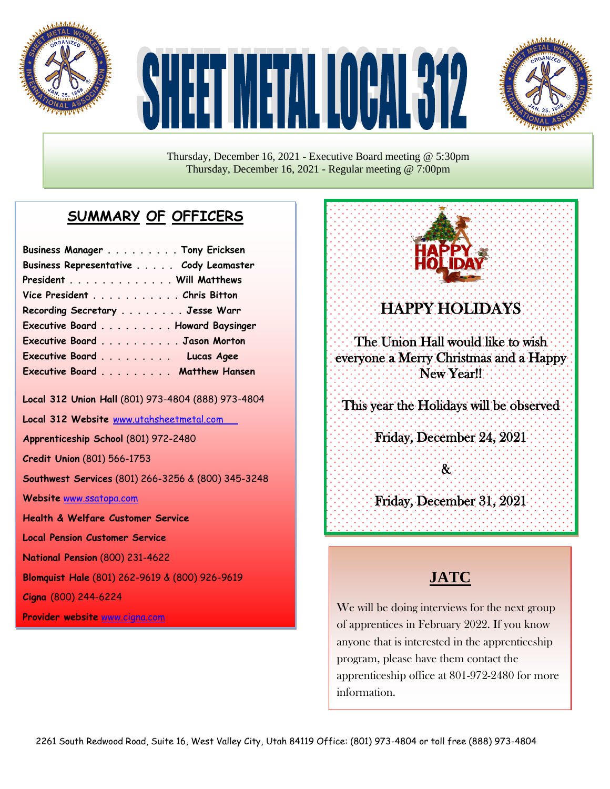

# HE TIMETALIOGRAFIZ



Thursday, December 16, 2021 - Executive Board meeting @ 5:30pm Thursday, December 16, 2021 - Regular meeting @ 7:00pm

# **SUMMARY OF OFFICERS**

| Business Manager Tony Ericksen         |  |
|----------------------------------------|--|
| Business Representative Cody Leamaster |  |
| President Will Matthews                |  |
| Vice President Chris Bitton            |  |
| Recording Secretary Jesse Warr         |  |
| Executive Board Howard Baysinger       |  |
| Executive Board Jason Morton           |  |
| Executive Board Lucas Agee             |  |
| Executive Board Matthew Hansen         |  |

**Local 312 Union Hall** (801) 973-4804 (888) 973-4804

**Local 312 Website** [www.utahsheetmetal.com](http://www.utahsheetmetal.com/)

**Apprenticeship School** (801) 972-2480

**Credit Union** (801) 566-1753

**Southwest Services** (801) 266-3256 & (800) 345-3248

**Website** [www.ssatopa.com](http://www.ssatopa.com/)

**Health & Welfare Customer Service**

**Local Pension Customer Service**

**National Pension** (800) 231-4622

**Blomquist Hale** (801) 262-9619 & (800) 926-9619

**Cigna** (800) 244-6224

**Provider website** [www.cigna.com](http://www.cigna.com/)



### j HAPPY HOLIDAYS

The Union Hall would like to wish everyone a Merry Christmas and a Happy New Year!!

j This year the Holidays will be observed

> j Friday, December 24, 2021

> > $\vdots$  $\mathcal{R}^{\cdot}$

í

j Friday, December 31, 2021 j

## **JATC**

We will be doing interviews for the next group of apprentices in February 2022. If you know anyone that is interested in the apprenticeship program, please have them contact the apprenticeship office at 801-972-2480 for more information.